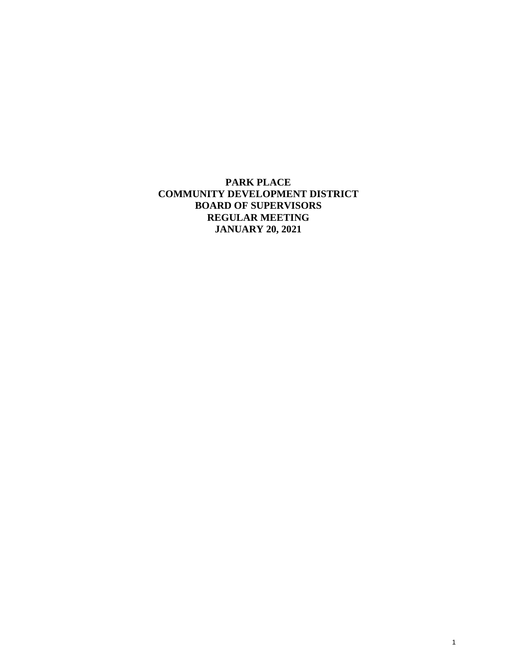**PARK PLACE COMMUNITY DEVELOPMENT DISTRICT BOARD OF SUPERVISORS REGULAR MEETING JANUARY 20, 2021**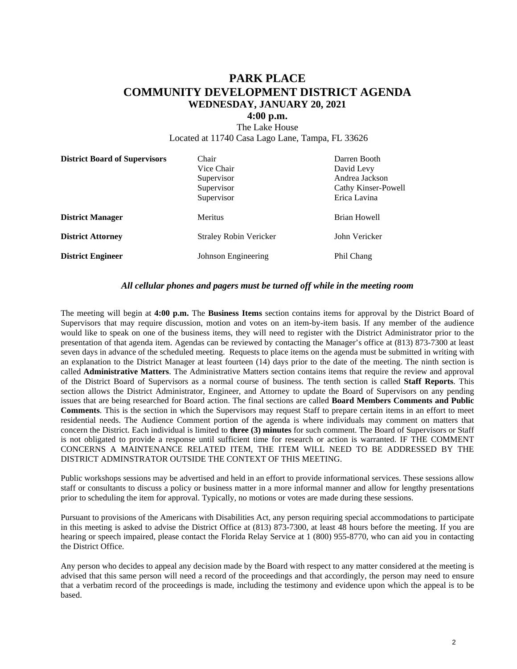## **PARK PLACE COMMUNITY DEVELOPMENT DISTRICT AGENDA WEDNESDAY, JANUARY 20, 2021**

## **4:00 p.m.**

The Lake House Located at 11740 Casa Lago Lane, Tampa, FL 33626

| <b>District Board of Supervisors</b> | Chair<br>Vice Chair<br>Supervisor<br>Supervisor | Darren Booth<br>David Levy<br>Andrea Jackson<br>Cathy Kinser-Powell |
|--------------------------------------|-------------------------------------------------|---------------------------------------------------------------------|
| <b>District Manager</b>              | Supervisor<br>Meritus                           | Erica Lavina<br>Brian Howell                                        |
| <b>District Attorney</b>             | <b>Straley Robin Vericker</b>                   | John Vericker                                                       |
| <b>District Engineer</b>             | Johnson Engineering                             | Phil Chang                                                          |

## *All cellular phones and pagers must be turned off while in the meeting room*

The meeting will begin at **4:00 p.m.** The **Business Items** section contains items for approval by the District Board of Supervisors that may require discussion, motion and votes on an item-by-item basis. If any member of the audience would like to speak on one of the business items, they will need to register with the District Administrator prior to the presentation of that agenda item. Agendas can be reviewed by contacting the Manager's office at (813) 873-7300 at least seven days in advance of the scheduled meeting. Requests to place items on the agenda must be submitted in writing with an explanation to the District Manager at least fourteen (14) days prior to the date of the meeting. The ninth section is called **Administrative Matters**. The Administrative Matters section contains items that require the review and approval of the District Board of Supervisors as a normal course of business. The tenth section is called **Staff Reports**. This section allows the District Administrator, Engineer, and Attorney to update the Board of Supervisors on any pending issues that are being researched for Board action. The final sections are called **Board Members Comments and Public Comments**. This is the section in which the Supervisors may request Staff to prepare certain items in an effort to meet residential needs. The Audience Comment portion of the agenda is where individuals may comment on matters that concern the District. Each individual is limited to **three (3) minutes** for such comment. The Board of Supervisors or Staff is not obligated to provide a response until sufficient time for research or action is warranted. IF THE COMMENT CONCERNS A MAINTENANCE RELATED ITEM, THE ITEM WILL NEED TO BE ADDRESSED BY THE DISTRICT ADMINSTRATOR OUTSIDE THE CONTEXT OF THIS MEETING.

Public workshops sessions may be advertised and held in an effort to provide informational services. These sessions allow staff or consultants to discuss a policy or business matter in a more informal manner and allow for lengthy presentations prior to scheduling the item for approval. Typically, no motions or votes are made during these sessions.

Pursuant to provisions of the Americans with Disabilities Act, any person requiring special accommodations to participate in this meeting is asked to advise the District Office at (813) 873-7300, at least 48 hours before the meeting. If you are hearing or speech impaired, please contact the Florida Relay Service at 1 (800) 955-8770, who can aid you in contacting the District Office.

Any person who decides to appeal any decision made by the Board with respect to any matter considered at the meeting is advised that this same person will need a record of the proceedings and that accordingly, the person may need to ensure that a verbatim record of the proceedings is made, including the testimony and evidence upon which the appeal is to be based.